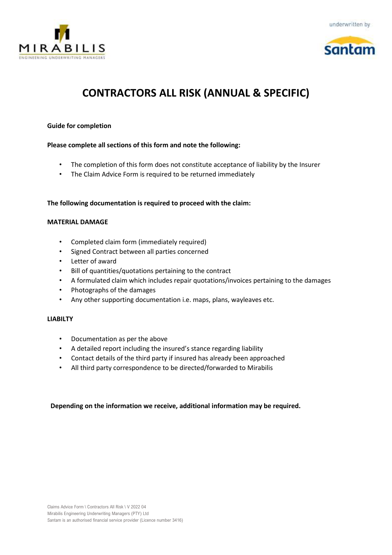





# **CONTRACTORS ALL RISK (ANNUAL & SPECIFIC)**

# **Guide for completion**

# **Please complete all sections of this form and note the following:**

- The completion of this form does not constitute acceptance of liability by the Insurer
- The Claim Advice Form is required to be returned immediately

# **The following documentation is required to proceed with the claim:**

#### **MATERIAL DAMAGE**

- Completed claim form (immediately required)
- Signed Contract between all parties concerned
- Letter of award
- Bill of quantities/quotations pertaining to the contract
- A formulated claim which includes repair quotations/invoices pertaining to the damages
- Photographs of the damages
- Any other supporting documentation i.e. maps, plans, wayleaves etc.

#### **LIABILTY**

- Documentation as per the above
- A detailed report including the insured's stance regarding liability
- Contact details of the third party if insured has already been approached
- All third party correspondence to be directed/forwarded to Mirabilis

# **Depending on the information we receive, additional information may be required.**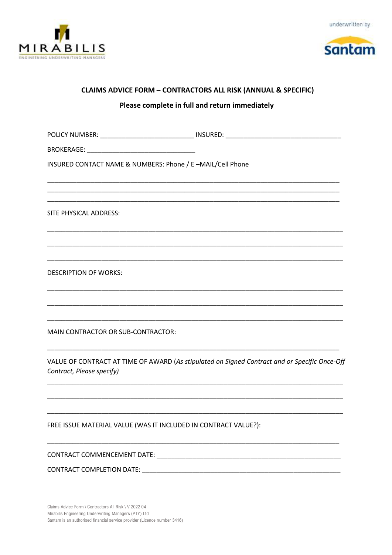





# **CLAIMS ADVICE FORM - CONTRACTORS ALL RISK (ANNUAL & SPECIFIC)**

# Please complete in full and return immediately

POLICY NUMBER: \_\_\_\_\_\_\_\_\_\_\_\_\_\_\_\_\_\_\_\_\_\_\_\_\_\_\_\_\_\_\_\_\_ INSURED: \_\_\_\_\_\_\_\_\_\_\_\_\_\_\_\_\_\_\_\_\_\_ **BROKERAGE: Example 2020** INSURED CONTACT NAME & NUMBERS: Phone / E-MAIL/Cell Phone SITE PHYSICAL ADDRESS: **DESCRIPTION OF WORKS:** MAIN CONTRACTOR OR SUB-CONTRACTOR:

VALUE OF CONTRACT AT TIME OF AWARD (As stipulated on Signed Contract and or Specific Once-Off Contract, Please specify)

FREE ISSUE MATERIAL VALUE (WAS IT INCLUDED IN CONTRACT VALUE?):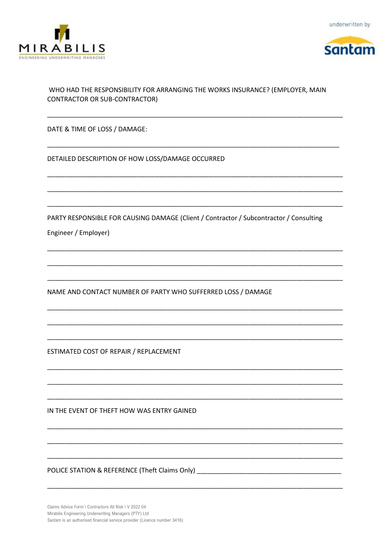





# WHO HAD THE RESPONSIBILITY FOR ARRANGING THE WORKS INSURANCE? (EMPLOYER, MAIN **CONTRACTOR OR SUB-CONTRACTOR)**

DATE & TIME OF LOSS / DAMAGE:

DETAILED DESCRIPTION OF HOW LOSS/DAMAGE OCCURRED

PARTY RESPONSIBLE FOR CAUSING DAMAGE (Client / Contractor / Subcontractor / Consulting

Engineer / Employer)

NAME AND CONTACT NUMBER OF PARTY WHO SUFFERRED LOSS / DAMAGE

ESTIMATED COST OF REPAIR / REPLACEMENT

IN THE EVENT OF THEFT HOW WAS ENTRY GAINED

POLICE STATION & REFERENCE (Theft Claims Only) \_\_\_\_\_\_\_\_\_\_\_\_\_\_\_\_\_\_\_\_\_\_\_\_\_\_\_\_\_\_\_\_\_

Claims Advice Form \ Contractors All Risk \ V 2022 04 Mirabilis Engineering Underwriting Managers (PTY) Ltd Santam is an authorised financial service provider (Licence number 3416)